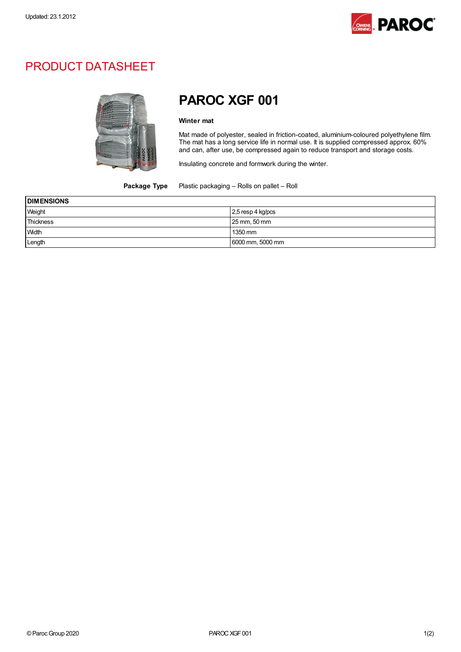

## PRODUCT DATASHEET



## PAROC XGF 001

## Winter mat

Mat made of polyester, sealed in friction-coated, aluminium-coloured polyethylene film. The mat has a long service life in normal use. It is supplied compressed approx. 60% and can, after use, be compressed again to reduce transport and storage costs.

Insulating concrete and formwork during the winter.

Package Type Plastic packaging - Rolls on pallet - Roll

| <b>DIMENSIONS</b> |                     |
|-------------------|---------------------|
| Weight            | $2.5$ resp 4 kg/pcs |
| <b>Thickness</b>  | 25 mm, 50 mm        |
| Width             | 1350 mm             |
| Length            | 6000 mm, 5000 mm    |